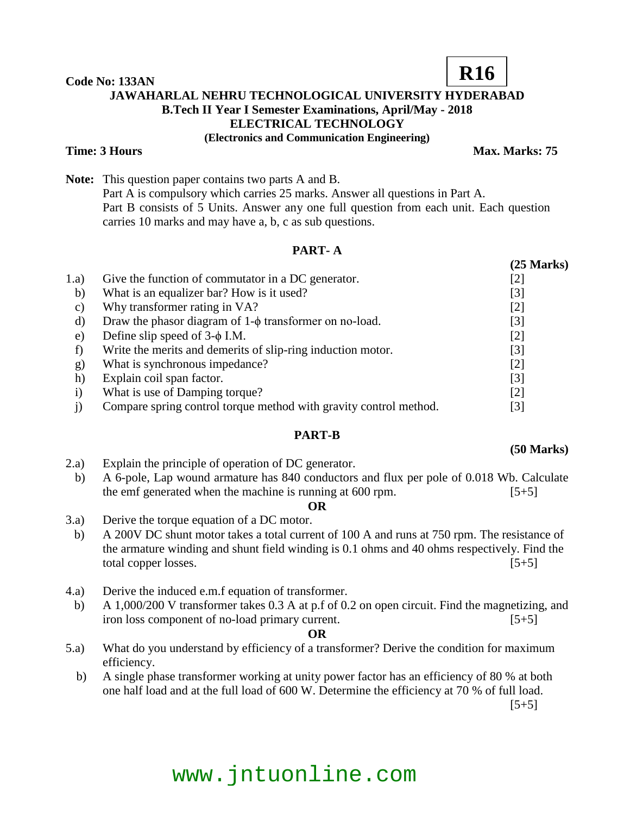**Code No: 133AN JAWAHARLAL NEHRU TECHNOLOGICAL UNIVERSITY HYDERABAD B.Tech II Year I Semester Examinations, April/May - 2018 ELECTRICAL TECHNOLOGY (Electronics and Communication Engineering) Time: 3 Hours Max. Marks: 75** 

**Note:** This question paper contains two parts A and B. Part A is compulsory which carries 25 marks. Answer all questions in Part A. Part B consists of 5 Units. Answer any one full question from each unit. Each question carries 10 marks and may have a, b, c as sub questions.

## **PART- A**

|              |                                                                   | $(25$ Marks) |
|--------------|-------------------------------------------------------------------|--------------|
| 1.a)         | Give the function of commutator in a DC generator.                | [2]          |
| b)           | What is an equalizer bar? How is it used?                         | [3]          |
| c)           | Why transformer rating in VA?                                     | $[2]$        |
| d)           | Draw the phasor diagram of $1-\phi$ transformer on no-load.       | [3]          |
| e)           | Define slip speed of $3-\phi$ I.M.                                | $[2]$        |
|              | Write the merits and demerits of slip-ring induction motor.       | [3]          |
| $\mathbf{g}$ | What is synchronous impedance?                                    | $[2]$        |
| h)           | Explain coil span factor.                                         | [3]          |
| $\mathbf{i}$ | What is use of Damping torque?                                    | [2]          |
|              | Compare spring control torque method with gravity control method. | [3]          |

# **PART-B**

- 2.a) Explain the principle of operation of DC generator.
- b) A 6-pole, Lap wound armature has 840 conductors and flux per pole of 0.018 Wb. Calculate the emf generated when the machine is running at  $600$  rpm.  $[5+5]$ 
	- **OR**
- 3.a) Derive the torque equation of a DC motor.
- b) A 200V DC shunt motor takes a total current of 100 A and runs at 750 rpm. The resistance of the armature winding and shunt field winding is 0.1 ohms and 40 ohms respectively. Find the total copper losses. [5+5]
- 4.a) Derive the induced e.m.f equation of transformer.
- b) A 1,000/200 V transformer takes 0.3 A at p.f of 0.2 on open circuit. Find the magnetizing, and iron loss component of no-load primary current. [5+5]

## **OR**

- 5.a) What do you understand by efficiency of a transformer? Derive the condition for maximum efficiency.
	- b) A single phase transformer working at unity power factor has an efficiency of 80 % at both one half load and at the full load of 600 W. Determine the efficiency at 70 % of full load.

 $[5+5]$ 

# www.jntuonline.com

**(50 Marks)**

**R16**